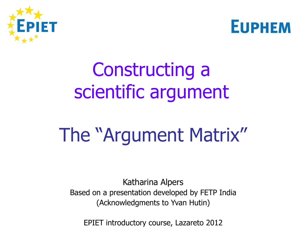



# Constructing a scientific argument

# The "Argument Matrix"

Katharina Alpers Based on a presentation developed by FETP India (Acknowledgments to Yvan Hutin)

EPIET introductory course, Lazareto 2012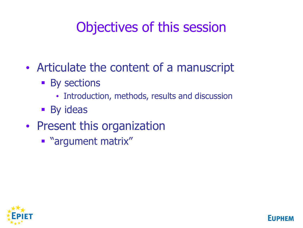### Objectives of this session

- Articulate the content of a manuscript
	- **By sections** 
		- Introduction, methods, results and discussion

**FIIDH** 

- **By ideas**
- Present this organization
	- **"** "argument matrix"

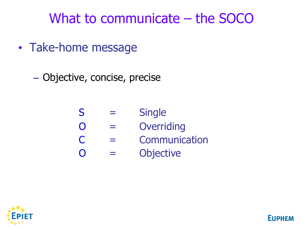What to communicate – the SOCO

• Take-home message

– Objective, concise, precise

| S                 | <b>Single</b>    |
|-------------------|------------------|
| $\overline{()}$   | Overriding       |
| $\mathbf C$       | Communication    |
| $\mathbf{\Omega}$ | <b>Objective</b> |

**EUPHEN** 

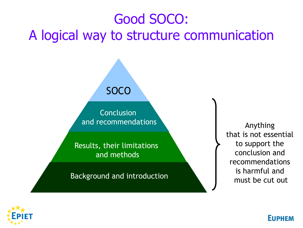## Good SOCO: A logical way to structure communication

**SOCO** 

**Conclusion** and recommendations

Results, their limitations and methods

Background and introduction

Anything that is not essential to support the conclusion and recommendations is harmful and must be cut out

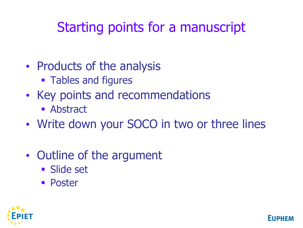## Starting points for a manuscript

- Products of the analysis
	- **Tables and figures**
- Key points and recommendations
	- **Abstract**
- Write down your SOCO in two or three lines
- Outline of the argument
	- **Slide set**
	- **Poster**



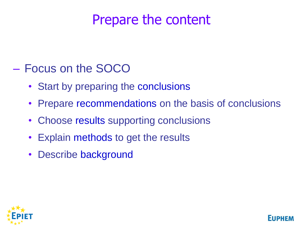#### Prepare the content

#### – Focus on the SOCO

- Start by preparing the conclusions
- Prepare recommendations on the basis of conclusions
- Choose results supporting conclusions
- Explain methods to get the results
- Describe background

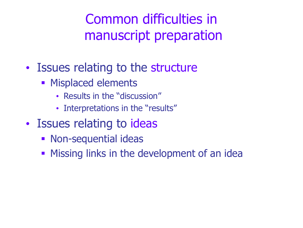Common difficulties in manuscript preparation

- Issues relating to the structure
	- **Misplaced elements** 
		- Results in the "discussion"
		- Interpretations in the "results"
- Issues relating to ideas
	- **Non-sequential ideas**
	- **Missing links in the development of an idea**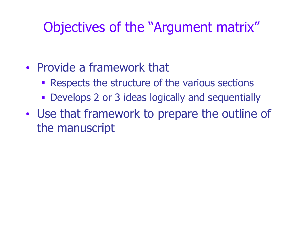#### Objectives of the "Argument matrix"

- Provide a framework that
	- **Respects the structure of the various sections**
	- **Develops 2 or 3 ideas logically and sequentially**
- Use that framework to prepare the outline of the manuscript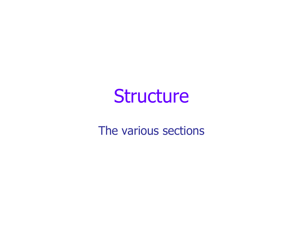# **Structure**

The various sections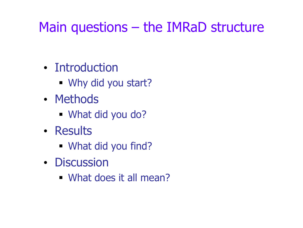#### Main questions – the IMRaD structure

- Introduction
	- Why did you start?
- Methods
	- What did you do?
- Results
	- What did you find?
- Discussion
	- What does it all mean?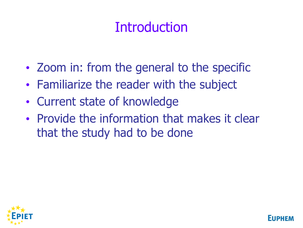### **Introduction**

- Zoom in: from the general to the specific
- Familiarize the reader with the subject
- Current state of knowledge
- Provide the information that makes it clear that the study had to be done

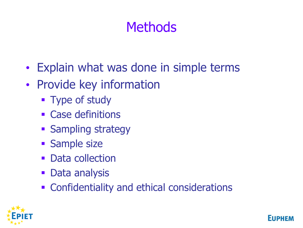#### **Methods**

- Explain what was done in simple terms
- Provide key information
	- Type of study
	- **Example 23 Case definitions**
	- **Sampling strategy**
	- **Sample size**
	- **Data collection**
	- **Data analysis**
	- **Example 1** Confidentiality and ethical considerations



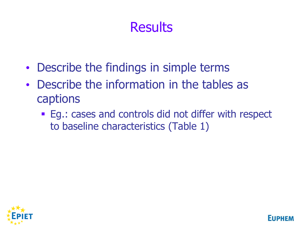#### **Results**

- Describe the findings in simple terms
- Describe the information in the tables as captions
	- **Eg.: cases and controls did not differ with respect** to baseline characteristics (Table 1)

**FIIPP** 

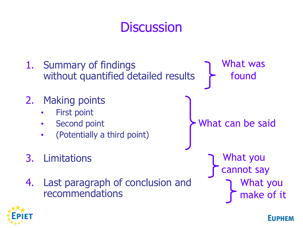#### **Discussion**

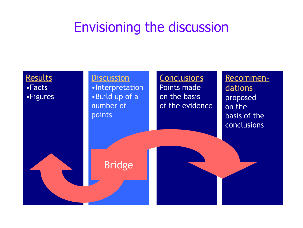#### Envisioning the discussion

#### **Results** •Facts •Figures

#### **Discussion**

•Interpretation •Build up of a number of points

Bridge

**Conclusions** Points made on the basis of the evidence

Recommen**dations** proposed on the basis of the conclusions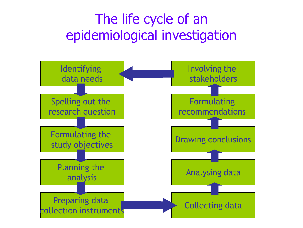#### The life cycle of an epidemiological investigation

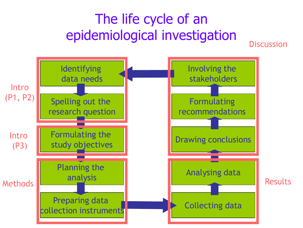#### The life cycle of an epidemiological investigation

**Discussion** 

Identifying data needs Spelling out the research question Formulating the study objectives Planning the analysis Preparing data collection instruments **Collecting data** Analysing data Drawing conclusions Formulating recommendations Involving the stakeholders **Intro** (P1, P2) Intro (P3) Methods **Results**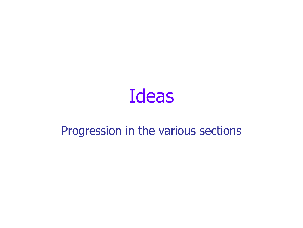

#### Progression in the various sections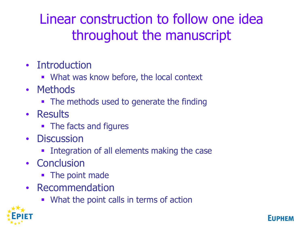#### Linear construction to follow one idea throughout the manuscript

- Introduction
	- **What was know before, the local context**
- Methods
	- The methods used to generate the finding
- Results
	- The facts and figures
- Discussion
	- **Integration of all elements making the case**
- Conclusion
	- The point made
- Recommendation
	- **What the point calls in terms of action**

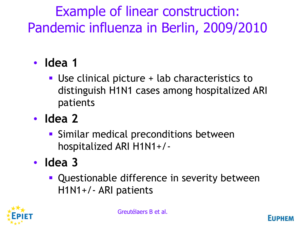## Example of linear construction: Pandemic influenza in Berlin, 2009/2010

- **Idea 1**
	- Use clinical picture + lab characteristics to distinguish H1N1 cases among hospitalized ARI patients
- **Idea 2**
	- **Similar medical preconditions between** hospitalized ARI H1N1+/-
- **Idea 3**
	- **Questionable difference in severity between** H1N1+/- ARI patients

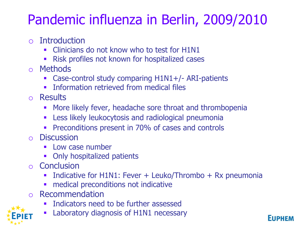## Pandemic influenza in Berlin, 2009/2010

- o Introduction
	- Clinicians do not know who to test for H1N1
	- Risk profiles not known for hospitalized cases
- o Methods
	- Case-control study comparing H1N1+/- ARI-patients
	- Information retrieved from medical files
- o Results
	- More likely fever, headache sore throat and thrombopenia
	- **EXECTE:** Less likely leukocytosis and radiological pneumonia
	- **Preconditions present in 70% of cases and controls**
- o Discussion
	- Low case number
	- Only hospitalized patients
- o Conclusion
	- Indicative for H1N1: Fever + Leuko/Thrombo + Rx pneumonia
	- medical preconditions not indicative
- o Recommendation
	- Indicators need to be further assessed
	- Laboratory diagnosis of H1N1 necessary

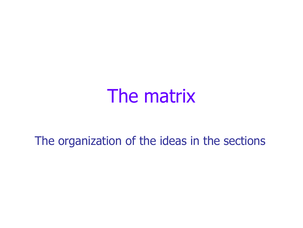# The matrix

The organization of the ideas in the sections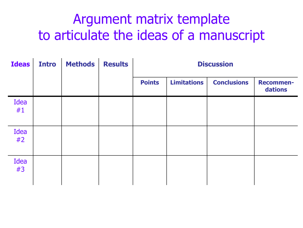#### Argument matrix template to articulate the ideas of a manuscript

| <b>Ideas</b> | <b>Intro</b> | <b>Methods</b> | <b>Results</b> | <b>Discussion</b> |                    |                    |                             |  |
|--------------|--------------|----------------|----------------|-------------------|--------------------|--------------------|-----------------------------|--|
|              |              |                |                | <b>Points</b>     | <b>Limitations</b> | <b>Conclusions</b> | <b>Recommen-</b><br>dations |  |
| Idea<br>#1   |              |                |                |                   |                    |                    |                             |  |
| Idea<br>#2   |              |                |                |                   |                    |                    |                             |  |
| Idea<br>#3   |              |                |                |                   |                    |                    |                             |  |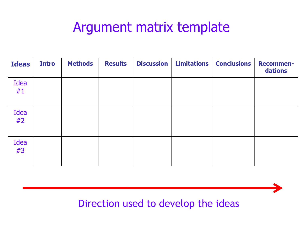#### Argument matrix template

| <b>Ideas</b> | <b>Intro</b> | <b>Methods</b> | <b>Results</b> | <b>Discussion</b> | Limitations   Conclusions | <b>Recommen-</b><br>dations |
|--------------|--------------|----------------|----------------|-------------------|---------------------------|-----------------------------|
| Idea<br>#1   |              |                |                |                   |                           |                             |
| Idea<br>#2   |              |                |                |                   |                           |                             |
| Idea<br>#3   |              |                |                |                   |                           |                             |

#### Direction used to develop the ideas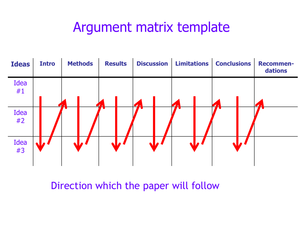#### Argument matrix template



Direction which the paper will follow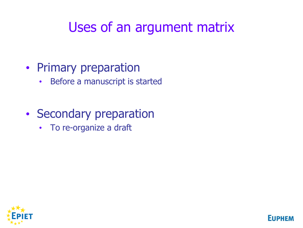#### Uses of an argument matrix

**EUPHE** 

#### • Primary preparation

- Before a manuscript is started
- Secondary preparation
	- To re-organize a draft

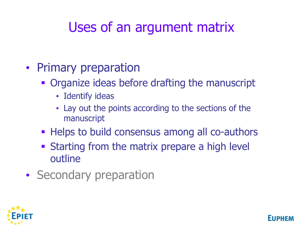### Uses of an argument matrix

- Primary preparation
	- **Organize ideas before drafting the manuscript** 
		- Identify ideas
		- Lay out the points according to the sections of the manuscript
	- **Helps to build consensus among all co-authors**
	- **Starting from the matrix prepare a high level** outline
- Secondary preparation

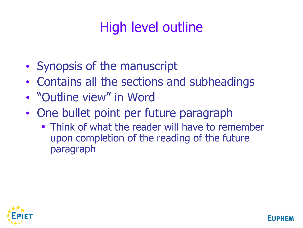## High level outline

- Synopsis of the manuscript
- Contains all the sections and subheadings
- "Outline view" in Word
- One bullet point per future paragraph
	- **Think of what the reader will have to remember** upon completion of the reading of the future paragraph

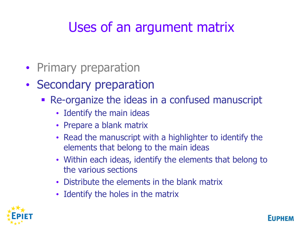## Uses of an argument matrix

- Primary preparation
- Secondary preparation
	- Re-organize the ideas in a confused manuscript
		- Identify the main ideas
		- Prepare a blank matrix
		- Read the manuscript with a highlighter to identify the elements that belong to the main ideas
		- Within each ideas, identify the elements that belong to the various sections
		- Distribute the elements in the blank matrix
		- Identify the holes in the matrix